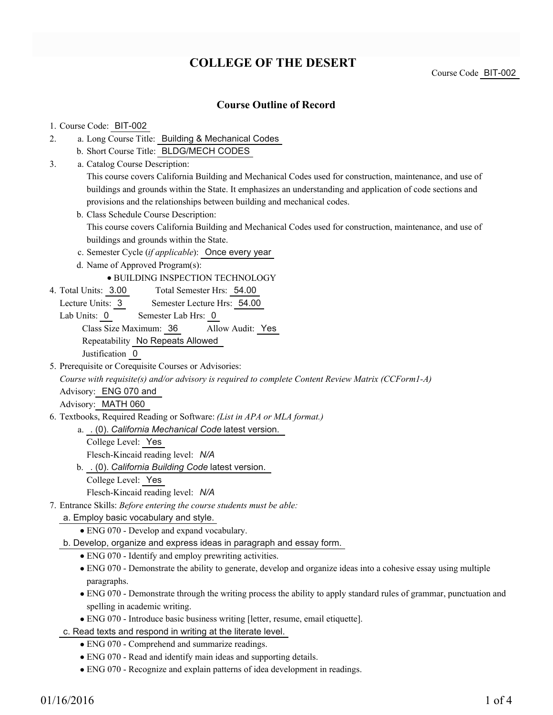# **COLLEGE OF THE DESERT**

Course Code BIT-002

### **Course Outline of Record**

### 1. Course Code: BIT-002

- a. Long Course Title: Building & Mechanical Codes 2.
	- b. Short Course Title: BLDG/MECH CODES
- Catalog Course Description: a. 3.

This course covers California Building and Mechanical Codes used for construction, maintenance, and use of buildings and grounds within the State. It emphasizes an understanding and application of code sections and provisions and the relationships between building and mechanical codes.

- b. Class Schedule Course Description: This course covers California Building and Mechanical Codes used for construction, maintenance, and use of buildings and grounds within the State.
- c. Semester Cycle (*if applicable*): Once every year
- d. Name of Approved Program(s):

### BUILDING INSPECTION TECHNOLOGY

- Total Semester Hrs: 54.00 4. Total Units: 3.00
- Lecture Units: 3 Semester Lecture Hrs: 54.00
- Lab Units: 0 Semester Lab Hrs: 0 Class Size Maximum: 36 Allow Audit: Yes Repeatability No Repeats Allowed Justification 0
- 5. Prerequisite or Corequisite Courses or Advisories:

*Course with requisite(s) and/or advisory is required to complete Content Review Matrix (CCForm1-A)*

Advisory: ENG 070 and

Advisory: MATH 060

Textbooks, Required Reading or Software: *(List in APA or MLA format.)* 6.

. (0). *California Mechanical Code* latest version. a.

- College Level: Yes Flesch-Kincaid reading level: *N/A*
- . (0). *California Building Code* latest version. b.
	- College Level: Yes

Flesch-Kincaid reading level: *N/A*

Entrance Skills: *Before entering the course students must be able:* 7.

a. Employ basic vocabulary and style.

ENG 070 - Develop and expand vocabulary.

b. Develop, organize and express ideas in paragraph and essay form.

- ENG 070 Identify and employ prewriting activities.
- ENG 070 Demonstrate the ability to generate, develop and organize ideas into a cohesive essay using multiple paragraphs.
- ENG 070 Demonstrate through the writing process the ability to apply standard rules of grammar, punctuation and spelling in academic writing.
- ENG 070 Introduce basic business writing [letter, resume, email etiquette].

c. Read texts and respond in writing at the literate level.

- ENG 070 Comprehend and summarize readings.
- ENG 070 Read and identify main ideas and supporting details.
- ENG 070 Recognize and explain patterns of idea development in readings.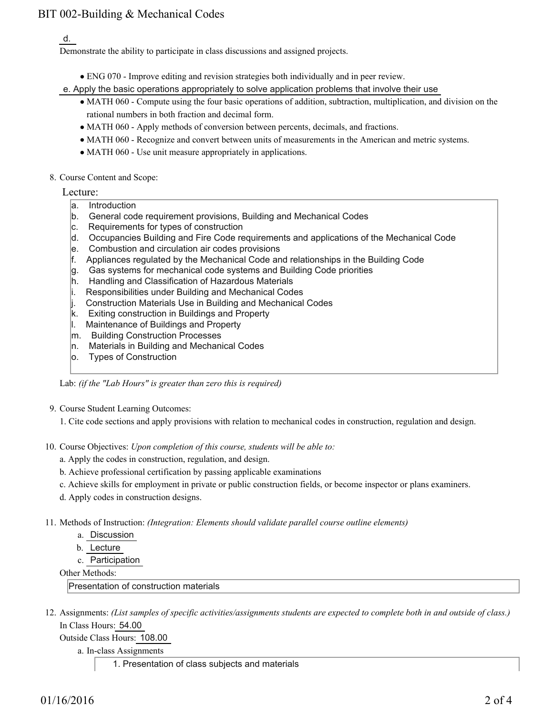## BIT 002-Building & Mechanical Codes

#### d.

Demonstrate the ability to participate in class discussions and assigned projects.

ENG 070 - Improve editing and revision strategies both individually and in peer review.

e. Apply the basic operations appropriately to solve application problems that involve their use

- MATH 060 Compute using the four basic operations of addition, subtraction, multiplication, and division on the rational numbers in both fraction and decimal form.
- MATH 060 Apply methods of conversion between percents, decimals, and fractions.
- MATH 060 Recognize and convert between units of measurements in the American and metric systems.
- MATH 060 Use unit measure appropriately in applications.
- 8. Course Content and Scope:

Lecture:

- a. Introduction
- b. General code requirement provisions, Building and Mechanical Codes
- c. Requirements for types of construction
- d. Occupancies Building and Fire Code requirements and applications of the Mechanical Code
- e. Combustion and circulation air codes provisions
- f. Appliances regulated by the Mechanical Code and relationships in the Building Code
- g. Gas systems for mechanical code systems and Building Code priorities
- h. Handling and Classification of Hazardous Materials
- i. Responsibilities under Building and Mechanical Codes
- j. Construction Materials Use in Building and Mechanical Codes
- k. Exiting construction in Buildings and Property
- l. Maintenance of Buildings and Property
- m. Building Construction Processes
- n. Materials in Building and Mechanical Codes
- o. Types of Construction

Lab: *(if the "Lab Hours" is greater than zero this is required)*

- 9. Course Student Learning Outcomes:
	- 1. Cite code sections and apply provisions with relation to mechanical codes in construction, regulation and design.
- 10. Course Objectives: Upon completion of this course, students will be able to:
	- a. Apply the codes in construction, regulation, and design.
	- b. Achieve professional certification by passing applicable examinations
	- c. Achieve skills for employment in private or public construction fields, or become inspector or plans examiners.
	- d. Apply codes in construction designs.
- Methods of Instruction: *(Integration: Elements should validate parallel course outline elements)* 11.
	- a. Discussion
	- b. Lecture
	- c. Participation
	- Other Methods:

Presentation of construction materials

12. Assignments: (List samples of specific activities/assignments students are expected to complete both in and outside of class.) In Class Hours: 54.00

Outside Class Hours: 108.00

- a. In-class Assignments
	- 1. Presentation of class subjects and materials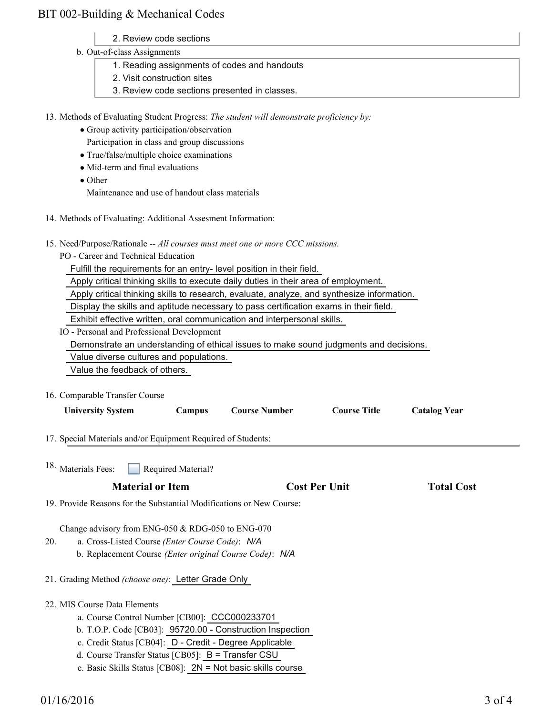### BIT 002-Building & Mechanical Codes

- 2. Review code sections
- b. Out-of-class Assignments
	- 1. Reading assignments of codes and handouts
	- 2. Visit construction sites
	- 3. Review code sections presented in classes.

13. Methods of Evaluating Student Progress: The student will demonstrate proficiency by:

- Group activity participation/observation
- Participation in class and group discussions
- True/false/multiple choice examinations
- Mid-term and final evaluations
- Other

Maintenance and use of handout class materials

- 14. Methods of Evaluating: Additional Assesment Information:
- 15. Need/Purpose/Rationale -- All courses must meet one or more CCC missions.
	- PO Career and Technical Education

Fulfill the requirements for an entry- level position in their field.

Apply critical thinking skills to execute daily duties in their area of employment.

Apply critical thinking skills to research, evaluate, analyze, and synthesize information.

Display the skills and aptitude necessary to pass certification exams in their field.

Exhibit effective written, oral communication and interpersonal skills.

IO - Personal and Professional Development

Demonstrate an understanding of ethical issues to make sound judgments and decisions.

Value diverse cultures and populations.

Value the feedback of others.

16. Comparable Transfer Course

| <b>University System</b>                                                                                                                                                                                                                                                                                                     | Campus             | <b>Course Number</b> | <b>Course Title</b>  | <b>Catalog Year</b> |  |
|------------------------------------------------------------------------------------------------------------------------------------------------------------------------------------------------------------------------------------------------------------------------------------------------------------------------------|--------------------|----------------------|----------------------|---------------------|--|
| 17. Special Materials and/or Equipment Required of Students:                                                                                                                                                                                                                                                                 |                    |                      |                      |                     |  |
| <sup>18.</sup> Materials Fees:                                                                                                                                                                                                                                                                                               | Required Material? |                      |                      |                     |  |
| <b>Material or Item</b>                                                                                                                                                                                                                                                                                                      |                    |                      | <b>Cost Per Unit</b> |                     |  |
| 19. Provide Reasons for the Substantial Modifications or New Course:                                                                                                                                                                                                                                                         |                    |                      |                      |                     |  |
| Change advisory from ENG-050 $& RDG-050$ to ENG-070<br>a. Cross-Listed Course (Enter Course Code): N/A<br>20.<br>b. Replacement Course (Enter original Course Code): N/A<br>21. Grading Method (choose one): Letter Grade Only                                                                                               |                    |                      |                      |                     |  |
| 22. MIS Course Data Elements<br>a. Course Control Number [CB00]: CCC000233701<br>b. T.O.P. Code [CB03]: 95720.00 - Construction Inspection<br>c. Credit Status [CB04]: D - Credit - Degree Applicable<br>d. Course Transfer Status [CB05]: B = Transfer CSU<br>e. Basic Skills Status [CB08]: $2N = Not basic skills course$ |                    |                      |                      |                     |  |